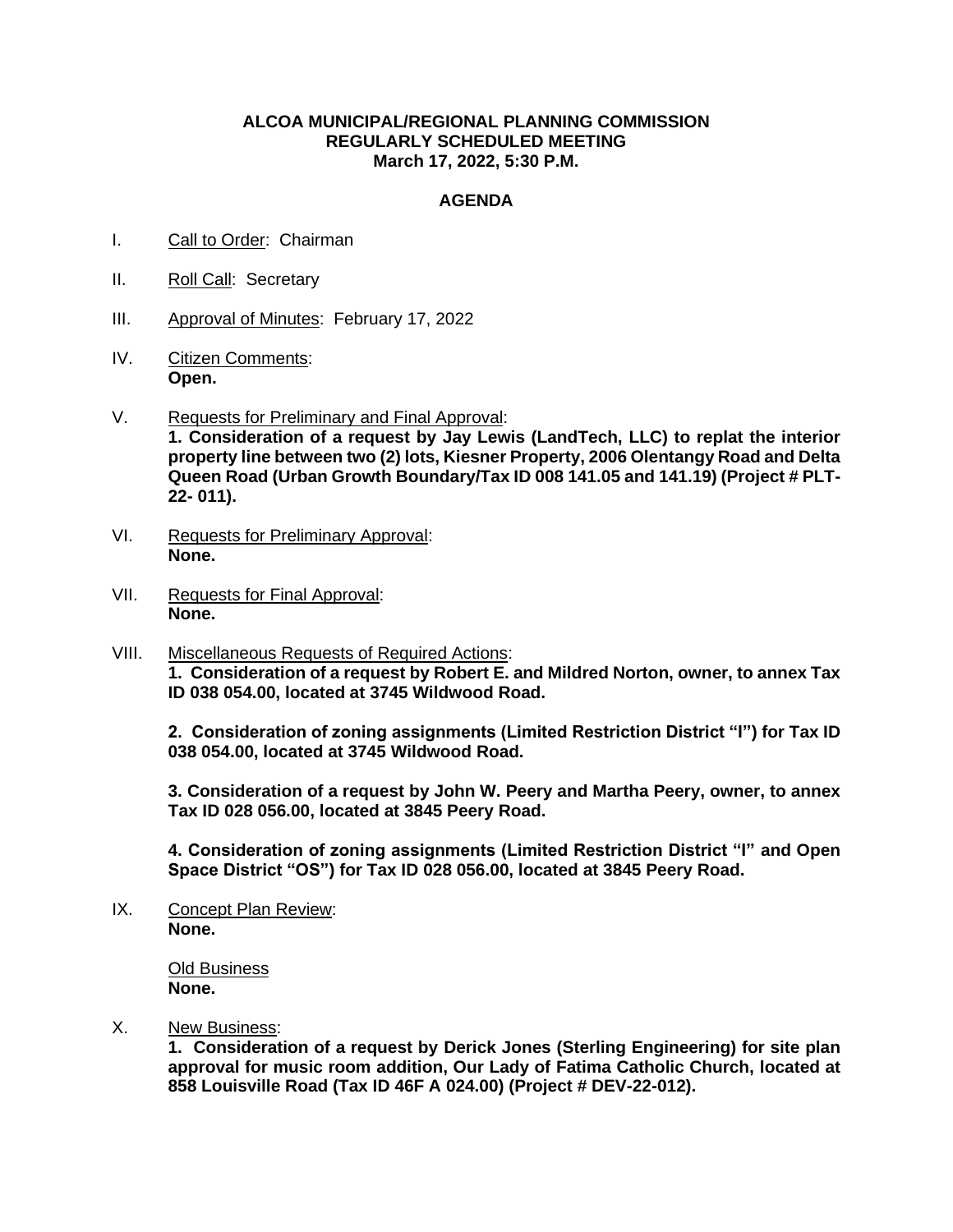## **ALCOA MUNICIPAL/REGIONAL PLANNING COMMISSION REGULARLY SCHEDULED MEETING March 17, 2022, 5:30 P.M.**

## **AGENDA**

- I. Call to Order: Chairman
- II. Roll Call: Secretary
- III. Approval of Minutes: February 17, 2022
- IV. Citizen Comments: **Open.**
- V. Requests for Preliminary and Final Approval: **1. Consideration of a request by Jay Lewis (LandTech, LLC) to replat the interior property line between two (2) lots, Kiesner Property, 2006 Olentangy Road and Delta Queen Road (Urban Growth Boundary/Tax ID 008 141.05 and 141.19) (Project # PLT-22- 011).**
- VI. Requests for Preliminary Approval: **None.**
- VII. Requests for Final Approval: **None.**
- VIII. Miscellaneous Requests of Required Actions: **1. Consideration of a request by Robert E. and Mildred Norton, owner, to annex Tax ID 038 054.00, located at 3745 Wildwood Road.**

**2. Consideration of zoning assignments (Limited Restriction District "I") for Tax ID 038 054.00, located at 3745 Wildwood Road.**

**3. Consideration of a request by John W. Peery and Martha Peery, owner, to annex Tax ID 028 056.00, located at 3845 Peery Road.**

**4. Consideration of zoning assignments (Limited Restriction District "I" and Open Space District "OS") for Tax ID 028 056.00, located at 3845 Peery Road.**

IX. Concept Plan Review: **None.**

> Old Business **None.**

X. New Business:

**1. Consideration of a request by Derick Jones (Sterling Engineering) for site plan approval for music room addition, Our Lady of Fatima Catholic Church, located at 858 Louisville Road (Tax ID 46F A 024.00) (Project # DEV-22-012).**